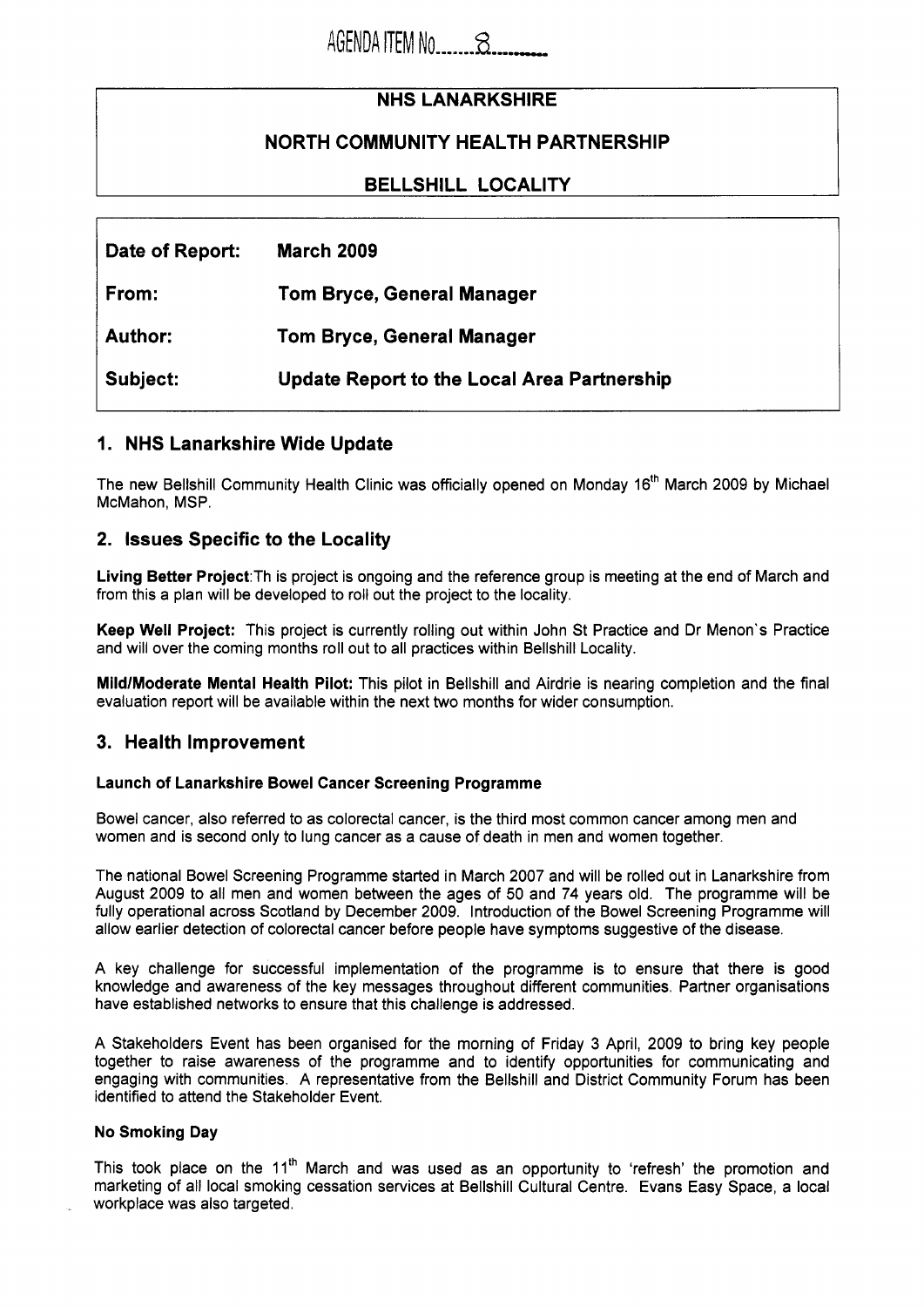# **NHS LANARKSHIRE**

# **NORTH COMMUNITY HEALTH PARTNERSHIP**

## **BELLSHILL LOCALITY**

| Date of Report: | <b>March 2009</b>                                  |
|-----------------|----------------------------------------------------|
| From:           | Tom Bryce, General Manager                         |
| Author:         | <b>Tom Bryce, General Manager</b>                  |
| Subject:        | <b>Update Report to the Local Area Partnership</b> |

## **1. NHS Lanarkshire Wide Update**

The new Bellshill Community Health Clinic was officially opened on Monday 16'h March 2009 by Michael McMahon, MSP.

### **2. Issues Specific to the Locality**

**Living Better Project:Th** is project is ongoing and the reference group is meeting at the end of March and from this a plan will be developed to roll out the project to the locality.

**Keep Well Project:** This project is currently rolling out within John St Practice and Dr Menon's Practice and will over the coming months roll out to all practices within Bellshill Locality.

**MildlModerate Mental Health Pilot:** This pilot in Bellshill and Airdrie is nearing completion and the final evaluation report will be available within the next two months for wider consumption.

## **3. Health Improvement**

#### **Launch of Lanarkshire Bowel Cancer Screening Programme**

Bowel cancer, also referred to as colorectal cancer, is the third most common cancer among men and women and is second only to lung cancer as a cause of death in men and women together.

The national Bowel Screening Programme started in March 2007 and will be rolled out in Lanarkshire from August 2009 to all men and women between the ages of 50 and 74 years old. The programme will be fully operational across Scotland by December 2009. Introduction of the Bowel Screening Programme will allow earlier detection of colorectal cancer before people have symptoms suggestive of the disease.

A key challenge for successful implementation of the programme is to ensure that there is good knowledge and awareness of the key messages throughout different communities. Partner organisations have established networks to ensure that this challenge is addressed.

A Stakeholders Event has been organised for the morning of Friday 3 April, 2009 to bring key people together to raise awareness of the programme and to identify opportunities for communicating and engaging with communities. A representative from the Bellshill and District Community Forum has been identified to attend the Stakeholder Event.

#### **No Smoking Day**

This took place on the 11<sup>th</sup> March and was used as an opportunity to 'refresh' the promotion and marketing of all local smoking cessation services at Bellshill Cultural Centre. Evans Easy Space, a local workplace was also targeted.